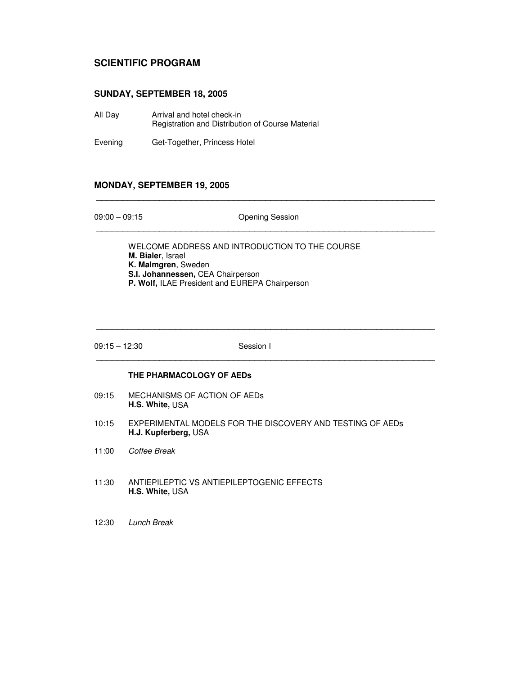## **SCIENTIFIC PROGRAM**

### **SUNDAY, SEPTEMBER 18, 2005**

- All Day Arrival and hotel check-in Registration and Distribution of Course Material
- Evening Get-Together, Princess Hotel

## **MONDAY, SEPTEMBER 19, 2005**

09:00 – 09:15 Opening Session \_\_\_\_\_\_\_\_\_\_\_\_\_\_\_\_\_\_\_\_\_\_\_\_\_\_\_\_\_\_\_\_\_\_\_\_\_\_\_\_\_\_\_\_\_\_\_\_\_\_\_\_\_\_\_\_\_\_\_\_\_\_\_\_

\_\_\_\_\_\_\_\_\_\_\_\_\_\_\_\_\_\_\_\_\_\_\_\_\_\_\_\_\_\_\_\_\_\_\_\_\_\_\_\_\_\_\_\_\_\_\_\_\_\_\_\_\_\_\_\_\_\_\_\_\_\_\_\_

WELCOME ADDRESS AND INTRODUCTION TO THE COURSE **M. Bialer**, Israel **K. Malmgren**, Sweden **S.I. Johannessen,** CEA Chairperson **P. Wolf,** ILAE President and EUREPA Chairperson

09:15 – 12:30 Session I

\_\_\_\_\_\_\_\_\_\_\_\_\_\_\_\_\_\_\_\_\_\_\_\_\_\_\_\_\_\_\_\_\_\_\_\_\_\_\_\_\_\_\_\_\_\_\_\_\_\_\_\_\_\_\_\_\_\_\_\_\_\_\_\_

\_\_\_\_\_\_\_\_\_\_\_\_\_\_\_\_\_\_\_\_\_\_\_\_\_\_\_\_\_\_\_\_\_\_\_\_\_\_\_\_\_\_\_\_\_\_\_\_\_\_\_\_\_\_\_\_\_\_\_\_\_\_\_\_

#### **THE PHARMACOLOGY OF AEDs**

- 09:15 MECHANISMS OF ACTION OF AEDs **H.S. White,** USA
- 10:15 EXPERIMENTAL MODELS FOR THE DISCOVERY AND TESTING OF AEDs **H.J. Kupferberg,** USA
- 11:00 *Coffee Break*
- 11:30 ANTIEPILEPTIC VS ANTIEPILEPTOGENIC EFFECTS **H.S. White,** USA
- 12:30 *Lunch Break*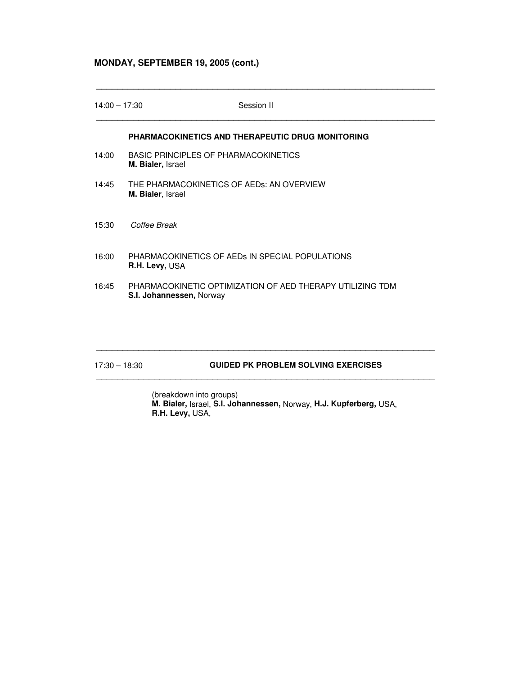## **MONDAY, SEPTEMBER 19, 2005 (cont.)**

| $14:00 - 17:30$ | Session II                                                                            |
|-----------------|---------------------------------------------------------------------------------------|
|                 | <b>PHARMACOKINETICS AND THERAPEUTIC DRUG MONITORING</b>                               |
| 14:00           | BASIC PRINCIPLES OF PHARMACOKINETICS<br><b>M. Bialer, Israel</b>                      |
| 14:45           | THE PHARMACOKINETICS OF AEDS: AN OVERVIEW<br>M. Bialer, Israel                        |
| 15:30           | Coffee Break                                                                          |
| 16:00           | PHARMACOKINETICS OF AEDS IN SPECIAL POPULATIONS<br>R.H. Levy, USA                     |
| 16:45           | PHARMACOKINETIC OPTIMIZATION OF AED THERAPY UTILIZING TDM<br>S.I. Johannessen, Norway |
|                 |                                                                                       |

\_\_\_\_\_\_\_\_\_\_\_\_\_\_\_\_\_\_\_\_\_\_\_\_\_\_\_\_\_\_\_\_\_\_\_\_\_\_\_\_\_\_\_\_\_\_\_\_\_\_\_\_\_\_\_\_\_\_\_\_\_\_\_\_

## 17:30 – 18:30 **GUIDED PK PROBLEM SOLVING EXERCISES**

(breakdown into groups) **M. Bialer,** Israel, **S.I. Johannessen,** Norway, **H.J. Kupferberg,** USA, **R.H. Levy,** USA,

\_\_\_\_\_\_\_\_\_\_\_\_\_\_\_\_\_\_\_\_\_\_\_\_\_\_\_\_\_\_\_\_\_\_\_\_\_\_\_\_\_\_\_\_\_\_\_\_\_\_\_\_\_\_\_\_\_\_\_\_\_\_\_\_

\_\_\_\_\_\_\_\_\_\_\_\_\_\_\_\_\_\_\_\_\_\_\_\_\_\_\_\_\_\_\_\_\_\_\_\_\_\_\_\_\_\_\_\_\_\_\_\_\_\_\_\_\_\_\_\_\_\_\_\_\_\_\_\_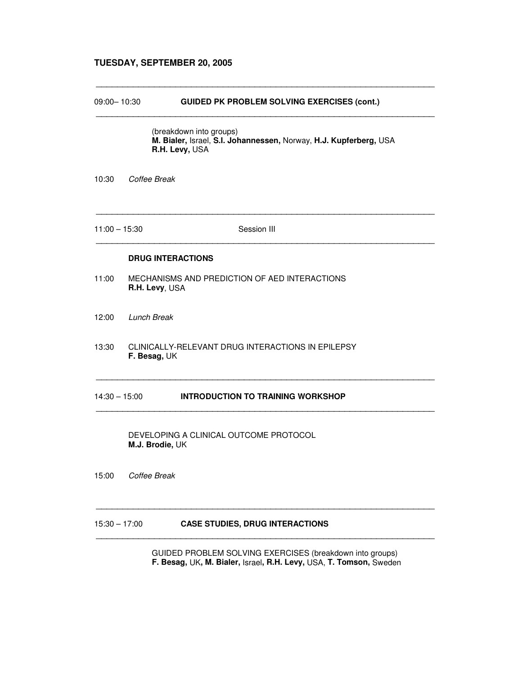### **TUESDAY, SEPTEMBER 20, 2005**

#### 09:00– 10:30 **GUIDED PK PROBLEM SOLVING EXERCISES (cont.)**

(breakdown into groups) **M. Bialer,** Israel, **S.I. Johannessen,** Norway, **H.J. Kupferberg,** USA **R.H. Levy,** USA

\_\_\_\_\_\_\_\_\_\_\_\_\_\_\_\_\_\_\_\_\_\_\_\_\_\_\_\_\_\_\_\_\_\_\_\_\_\_\_\_\_\_\_\_\_\_\_\_\_\_\_\_\_\_\_\_\_\_\_\_\_\_\_\_

\_\_\_\_\_\_\_\_\_\_\_\_\_\_\_\_\_\_\_\_\_\_\_\_\_\_\_\_\_\_\_\_\_\_\_\_\_\_\_\_\_\_\_\_\_\_\_\_\_\_\_\_\_\_\_\_\_\_\_\_\_\_\_\_

10:30 *Coffee Break*

11:00 – 15:30 Session III

\_\_\_\_\_\_\_\_\_\_\_\_\_\_\_\_\_\_\_\_\_\_\_\_\_\_\_\_\_\_\_\_\_\_\_\_\_\_\_\_\_\_\_\_\_\_\_\_\_\_\_\_\_\_\_\_\_\_\_\_\_\_\_\_

\_\_\_\_\_\_\_\_\_\_\_\_\_\_\_\_\_\_\_\_\_\_\_\_\_\_\_\_\_\_\_\_\_\_\_\_\_\_\_\_\_\_\_\_\_\_\_\_\_\_\_\_\_\_\_\_\_\_\_\_\_\_\_\_

\_\_\_\_\_\_\_\_\_\_\_\_\_\_\_\_\_\_\_\_\_\_\_\_\_\_\_\_\_\_\_\_\_\_\_\_\_\_\_\_\_\_\_\_\_\_\_\_\_\_\_\_\_\_\_\_\_\_\_\_\_\_\_\_

\_\_\_\_\_\_\_\_\_\_\_\_\_\_\_\_\_\_\_\_\_\_\_\_\_\_\_\_\_\_\_\_\_\_\_\_\_\_\_\_\_\_\_\_\_\_\_\_\_\_\_\_\_\_\_\_\_\_\_\_\_\_\_\_

\_\_\_\_\_\_\_\_\_\_\_\_\_\_\_\_\_\_\_\_\_\_\_\_\_\_\_\_\_\_\_\_\_\_\_\_\_\_\_\_\_\_\_\_\_\_\_\_\_\_\_\_\_\_\_\_\_\_\_\_\_\_\_\_

\_\_\_\_\_\_\_\_\_\_\_\_\_\_\_\_\_\_\_\_\_\_\_\_\_\_\_\_\_\_\_\_\_\_\_\_\_\_\_\_\_\_\_\_\_\_\_\_\_\_\_\_\_\_\_\_\_\_\_\_\_\_\_\_

#### **DRUG INTERACTIONS**

- 11:00 MECHANISMS AND PREDICTION OF AED INTERACTIONS **R.H. Levy**, USA
- 12:00 *Lunch Break*
- 13:30 CLINICALLY-RELEVANT DRUG INTERACTIONS IN EPILEPSY **F. Besag,** UK

### 14:30 – 15:00 **INTRODUCTION TO TRAINING WORKSHOP**

DEVELOPING A CLINICAL OUTCOME PROTOCOL **M.J. Brodie,** UK

15:00 *Coffee Break*

#### 15:30 – 17:00 **CASE STUDIES, DRUG INTERACTIONS**

GUIDED PROBLEM SOLVING EXERCISES (breakdown into groups) **F. Besag,** UK**, M. Bialer,** Israel**, R.H. Levy,** USA, **T. Tomson,** Sweden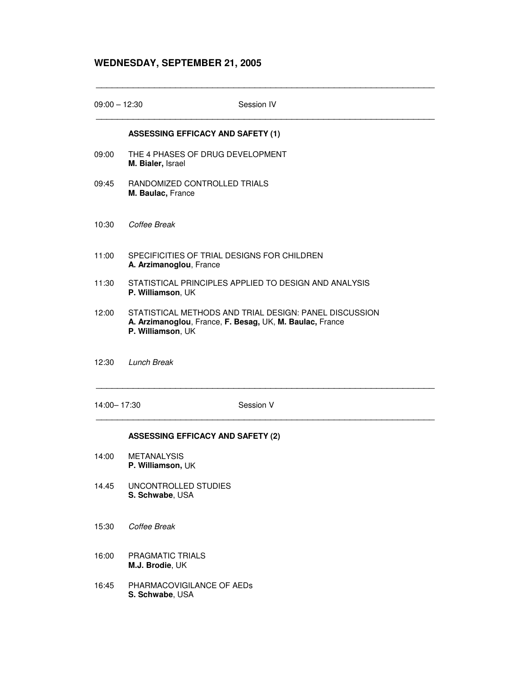# **WEDNESDAY, SEPTEMBER 21, 2005**

| $09:00 - 12:30$ | Session IV                                                                                                                              |  |  |
|-----------------|-----------------------------------------------------------------------------------------------------------------------------------------|--|--|
|                 | <b>ASSESSING EFFICACY AND SAFETY (1)</b>                                                                                                |  |  |
| 09:00           | THE 4 PHASES OF DRUG DEVELOPMENT<br>M. Bialer, Israel                                                                                   |  |  |
| 09:45           | RANDOMIZED CONTROLLED TRIALS<br>M. Baulac, France                                                                                       |  |  |
| 10:30           | Coffee Break                                                                                                                            |  |  |
| 11:00           | SPECIFICITIES OF TRIAL DESIGNS FOR CHILDREN<br>A. Arzimanoglou, France                                                                  |  |  |
| 11:30           | STATISTICAL PRINCIPLES APPLIED TO DESIGN AND ANALYSIS<br>P. Williamson, UK                                                              |  |  |
| 12:00           | STATISTICAL METHODS AND TRIAL DESIGN: PANEL DISCUSSION<br>A. Arzimanoglou, France, F. Besag, UK, M. Baulac, France<br>P. Williamson, UK |  |  |
| 12:30           | <b>Lunch Break</b>                                                                                                                      |  |  |
| 14:00-17:30     | Session V                                                                                                                               |  |  |
|                 | <b>ASSESSING EFFICACY AND SAFETY (2)</b>                                                                                                |  |  |

\_\_\_\_\_\_\_\_\_\_\_\_\_\_\_\_\_\_\_\_\_\_\_\_\_\_\_\_\_\_\_\_\_\_\_\_\_\_\_\_\_\_\_\_\_\_\_\_\_\_\_\_\_\_\_\_\_\_\_\_\_\_\_\_

- 14:00 METANALYSIS **P. Williamson,** UK
- 14.45 UNCONTROLLED STUDIES **S. Schwabe**, USA
- 15:30 *Coffee Break*
- 16:00 PRAGMATIC TRIALS **M.J. Brodie**, UK
- 16:45 PHARMACOVIGILANCE OF AEDs **S. Schwabe**, USA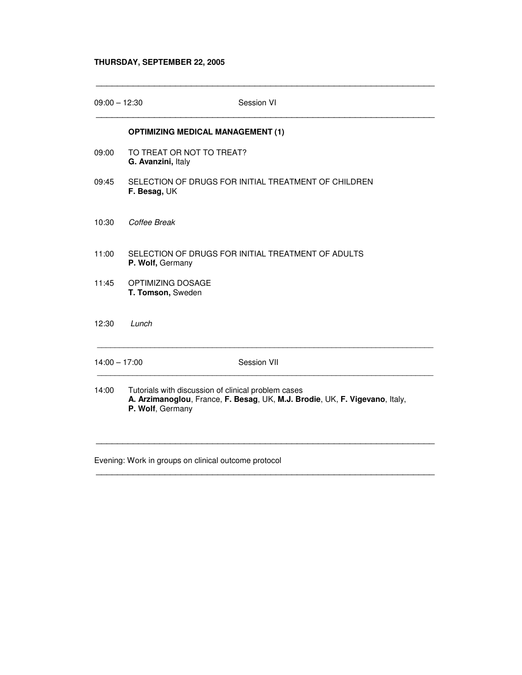## **THURSDAY, SEPTEMBER 22, 2005**

| 09:00 - 12:30   |                                                                                                                                                        | Session VI                                           |  |  |
|-----------------|--------------------------------------------------------------------------------------------------------------------------------------------------------|------------------------------------------------------|--|--|
|                 | <b>OPTIMIZING MEDICAL MANAGEMENT (1)</b>                                                                                                               |                                                      |  |  |
| 09:00           | TO TREAT OR NOT TO TREAT?<br>G. Avanzini, Italy                                                                                                        |                                                      |  |  |
| 09:45           | F. Besag, UK                                                                                                                                           | SELECTION OF DRUGS FOR INITIAL TREATMENT OF CHILDREN |  |  |
| 10:30           | Coffee Break                                                                                                                                           |                                                      |  |  |
| 11:00           | P. Wolf, Germany                                                                                                                                       | SELECTION OF DRUGS FOR INITIAL TREATMENT OF ADULTS   |  |  |
| 11:45           | OPTIMIZING DOSAGE<br>T. Tomson, Sweden                                                                                                                 |                                                      |  |  |
| 12:30           | Lunch                                                                                                                                                  |                                                      |  |  |
| $14:00 - 17:00$ |                                                                                                                                                        | Session VII                                          |  |  |
| 14:00           | Tutorials with discussion of clinical problem cases<br>A. Arzimanoglou, France, F. Besag, UK, M.J. Brodie, UK, F. Vigevano, Italy,<br>P. Wolf, Germany |                                                      |  |  |
|                 |                                                                                                                                                        |                                                      |  |  |

\_\_\_\_\_\_\_\_\_\_\_\_\_\_\_\_\_\_\_\_\_\_\_\_\_\_\_\_\_\_\_\_\_\_\_\_\_\_\_\_\_\_\_\_\_\_\_\_\_\_\_\_\_\_\_\_\_\_\_\_\_\_\_\_

\_\_\_\_\_\_\_\_\_\_\_\_\_\_\_\_\_\_\_\_\_\_\_\_\_\_\_\_\_\_\_\_\_\_\_\_\_\_\_\_\_\_\_\_\_\_\_\_\_\_\_\_\_\_\_\_\_\_\_\_\_\_\_\_

Evening: Work in groups on clinical outcome protocol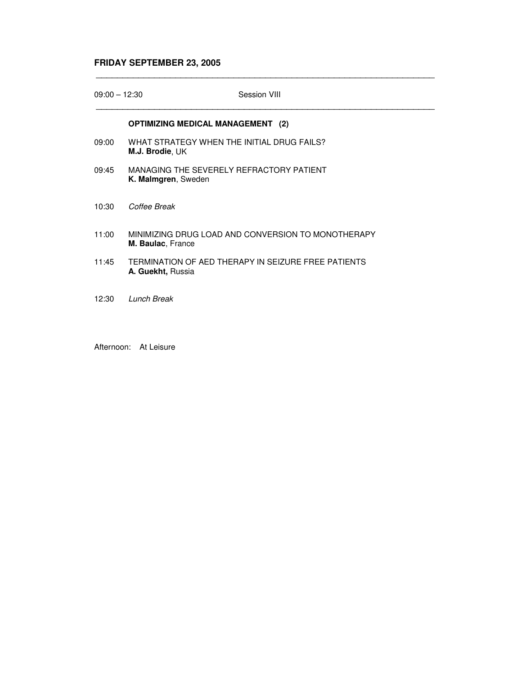# **FRIDAY SEPTEMBER 23, 2005**

| $09:00 - 12:30$ | Session VIII                                                                   |  |
|-----------------|--------------------------------------------------------------------------------|--|
|                 | <b>OPTIMIZING MEDICAL MANAGEMENT</b> (2)                                       |  |
| 09:00           | WHAT STRATEGY WHEN THE INITIAL DRUG FAILS?<br>M.J. Brodie, UK                  |  |
| 09:45           | MANAGING THE SEVERELY REFRACTORY PATIENT<br>K. Malmgren, Sweden                |  |
| 10:30           | Coffee Break                                                                   |  |
| 11:00           | MINIMIZING DRUG LOAD AND CONVERSION TO MONOTHERAPY<br><b>M. Baulac, France</b> |  |
| 11:45           | TERMINATION OF AED THERAPY IN SEIZURE FREE PATIENTS<br>A. Guekht, Russia       |  |
| 12:30           | Lunch Break                                                                    |  |

\_\_\_\_\_\_\_\_\_\_\_\_\_\_\_\_\_\_\_\_\_\_\_\_\_\_\_\_\_\_\_\_\_\_\_\_\_\_\_\_\_\_\_\_\_\_\_\_\_\_\_\_\_\_\_\_\_\_\_\_\_\_\_\_

Afternoon: At Leisure